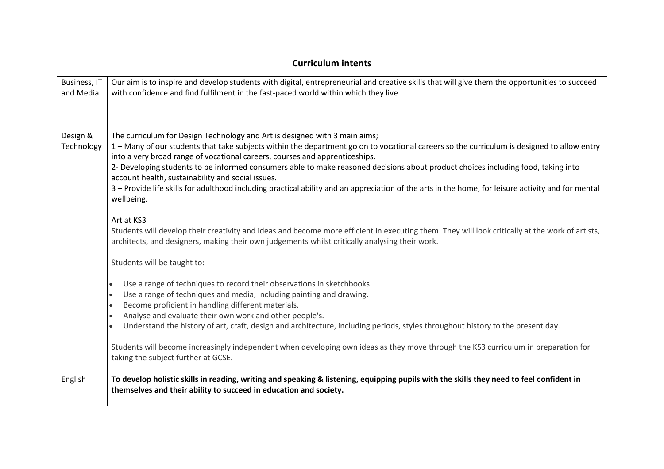# Business, IT and Media Our aim is to inspire and develop students with digital, entrepreneurial and creative skills that will give them the opportunities to succeed with confidence and find fulfilment in the fast-paced world within which they live. Design & **Technology** The curriculum for Design Technology and Art is designed with 3 main aims; 1 – Many of our students that take subjects within the department go on to vocational careers so the curriculum is designed to allow entry into a very broad range of vocational careers, courses and apprenticeships. 2- Developing students to be informed consumers able to make reasoned decisions about product choices including food, taking into account health, sustainability and social issues. 3 – Provide life skills for adulthood including practical ability and an appreciation of the arts in the home, for leisure activity and for mental wellbeing. Art at KS3 Students will develop their creativity and ideas and become more efficient in executing them. They will look critically at the work of artists, architects, and designers, making their own judgements whilst critically analysing their work. Students will be taught to: Use a range of techniques to record their observations in sketchbooks. • Use a range of techniques and media, including painting and drawing. • Become proficient in handling different materials. • Analyse and evaluate their own work and other people's. • Understand the history of art, craft, design and architecture, including periods, styles throughout history to the present day. Students will become increasingly independent when developing own ideas as they move through the KS3 curriculum in preparation for taking the subject further at GCSE. English **To develop holistic skills in reading, writing and speaking & listening, equipping pupils with the skills they need to feel confident in themselves and their ability to succeed in education and society.**

## **Curriculum intents**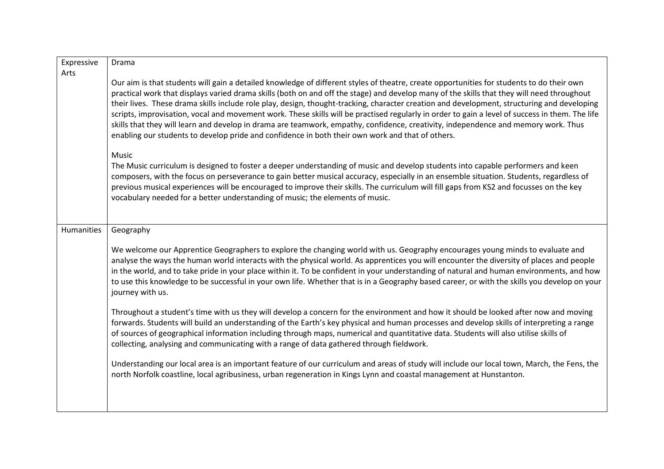| Expressive | Drama                                                                                                                                                                                                                                                                                                                                                                                                                                                                                                                                                                                                                                                                                                                                                                                                                               |
|------------|-------------------------------------------------------------------------------------------------------------------------------------------------------------------------------------------------------------------------------------------------------------------------------------------------------------------------------------------------------------------------------------------------------------------------------------------------------------------------------------------------------------------------------------------------------------------------------------------------------------------------------------------------------------------------------------------------------------------------------------------------------------------------------------------------------------------------------------|
| Arts       |                                                                                                                                                                                                                                                                                                                                                                                                                                                                                                                                                                                                                                                                                                                                                                                                                                     |
|            | Our aim is that students will gain a detailed knowledge of different styles of theatre, create opportunities for students to do their own<br>practical work that displays varied drama skills (both on and off the stage) and develop many of the skills that they will need throughout<br>their lives. These drama skills include role play, design, thought-tracking, character creation and development, structuring and developing<br>scripts, improvisation, vocal and movement work. These skills will be practised regularly in order to gain a level of success in them. The life<br>skills that they will learn and develop in drama are teamwork, empathy, confidence, creativity, independence and memory work. Thus<br>enabling our students to develop pride and confidence in both their own work and that of others. |
|            | Music<br>The Music curriculum is designed to foster a deeper understanding of music and develop students into capable performers and keen<br>composers, with the focus on perseverance to gain better musical accuracy, especially in an ensemble situation. Students, regardless of<br>previous musical experiences will be encouraged to improve their skills. The curriculum will fill gaps from KS2 and focusses on the key<br>vocabulary needed for a better understanding of music; the elements of music.                                                                                                                                                                                                                                                                                                                    |
| Humanities | Geography                                                                                                                                                                                                                                                                                                                                                                                                                                                                                                                                                                                                                                                                                                                                                                                                                           |
|            | We welcome our Apprentice Geographers to explore the changing world with us. Geography encourages young minds to evaluate and<br>analyse the ways the human world interacts with the physical world. As apprentices you will encounter the diversity of places and people<br>in the world, and to take pride in your place within it. To be confident in your understanding of natural and human environments, and how<br>to use this knowledge to be successful in your own life. Whether that is in a Geography based career, or with the skills you develop on your<br>journey with us.                                                                                                                                                                                                                                          |
|            | Throughout a student's time with us they will develop a concern for the environment and how it should be looked after now and moving<br>forwards. Students will build an understanding of the Earth's key physical and human processes and develop skills of interpreting a range<br>of sources of geographical information including through maps, numerical and quantitative data. Students will also utilise skills of<br>collecting, analysing and communicating with a range of data gathered through fieldwork.                                                                                                                                                                                                                                                                                                               |
|            | Understanding our local area is an important feature of our curriculum and areas of study will include our local town, March, the Fens, the<br>north Norfolk coastline, local agribusiness, urban regeneration in Kings Lynn and coastal management at Hunstanton.                                                                                                                                                                                                                                                                                                                                                                                                                                                                                                                                                                  |
|            |                                                                                                                                                                                                                                                                                                                                                                                                                                                                                                                                                                                                                                                                                                                                                                                                                                     |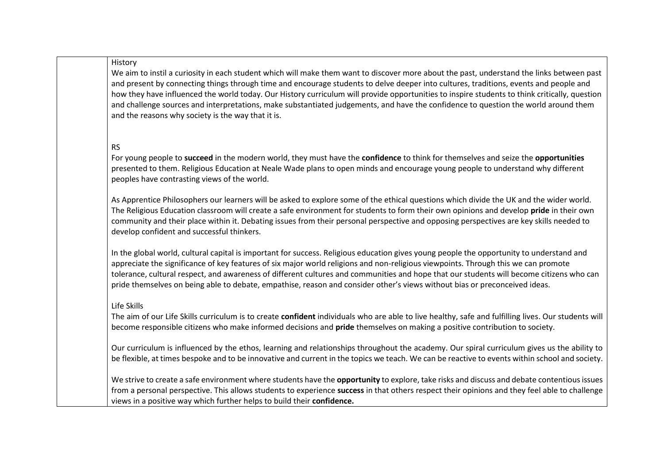#### History

We aim to instil a curiosity in each student which will make them want to discover more about the past, understand the links between past and present by connecting things through time and encourage students to delve deeper into cultures, traditions, events and people and how they have influenced the world today. Our History curriculum will provide opportunities to inspire students to think critically, question and challenge sources and interpretations, make substantiated judgements, and have the confidence to question the world around them and the reasons why society is the way that it is.

### RS

For young people to **succeed** in the modern world, they must have the **confidence** to think for themselves and seize the **opportunities** presented to them. Religious Education at Neale Wade plans to open minds and encourage young people to understand why different peoples have contrasting views of the world.

As Apprentice Philosophers our learners will be asked to explore some of the ethical questions which divide the UK and the wider world. The Religious Education classroom will create a safe environment for students to form their own opinions and develop **pride** in their own community and their place within it. Debating issues from their personal perspective and opposing perspectives are key skills needed to develop confident and successful thinkers.

In the global world, cultural capital is important for success. Religious education gives young people the opportunity to understand and appreciate the significance of key features of six major world religions and non-religious viewpoints. Through this we can promote tolerance, cultural respect, and awareness of different cultures and communities and hope that our students will become citizens who can pride themselves on being able to debate, empathise, reason and consider other's views without bias or preconceived ideas.

#### Life Skills

The aim of our Life Skills curriculum is to create **confident** individuals who are able to live healthy, safe and fulfilling lives. Our students will become responsible citizens who make informed decisions and **pride** themselves on making a positive contribution to society.

Our curriculum is influenced by the ethos, learning and relationships throughout the academy. Our spiral curriculum gives us the ability to be flexible, at times bespoke and to be innovative and current in the topics we teach. We can be reactive to events within school and society.

We strive to create a safe environment where students have the **opportunity** to explore, take risks and discuss and debate contentious issues from a personal perspective. This allows students to experience **success** in that others respect their opinions and they feel able to challenge views in a positive way which further helps to build their **confidence.**